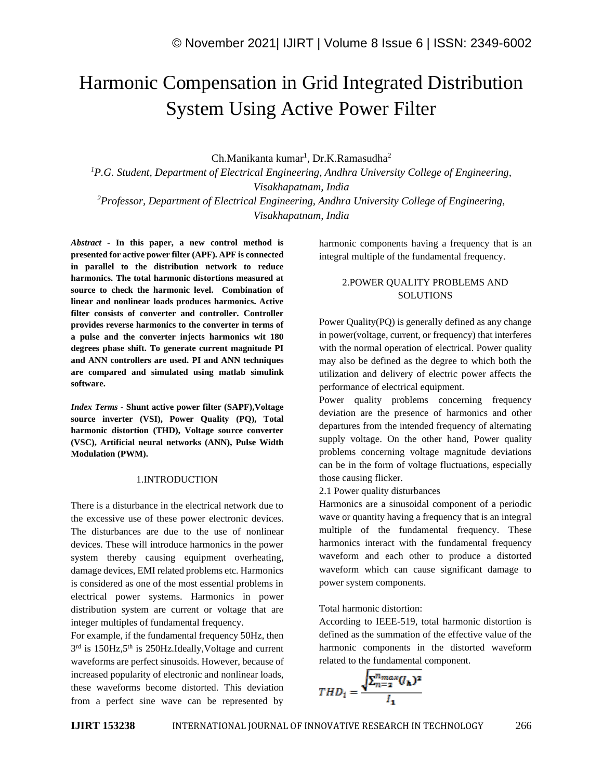# Harmonic Compensation in Grid Integrated Distribution System Using Active Power Filter

Ch.Manikanta kumar<sup>1</sup>, Dr.K.Ramasudha<sup>2</sup>

*<sup>1</sup>P.G. Student, Department of Electrical Engineering, Andhra University College of Engineering, Visakhapatnam, India <sup>2</sup>Professor, Department of Electrical Engineering, Andhra University College of Engineering, Visakhapatnam, India*

*Abstract -* **In this paper, a new control method is presented for active power filter (APF). APF is connected in parallel to the distribution network to reduce harmonics. The total harmonic distortions measured at source to check the harmonic level. Combination of linear and nonlinear loads produces harmonics. Active filter consists of converter and controller. Controller provides reverse harmonics to the converter in terms of a pulse and the converter injects harmonics wit 180 degrees phase shift. To generate current magnitude PI and ANN controllers are used. PI and ANN techniques are compared and simulated using matlab simulink software.**

*Index Terms -* **Shunt active power filter (SAPF),Voltage source inverter (VSI), Power Quality (PQ), Total harmonic distortion (THD), Voltage source converter (VSC), Artificial neural networks (ANN), Pulse Width Modulation (PWM).**

#### 1.INTRODUCTION

There is a disturbance in the electrical network due to the excessive use of these power electronic devices. The disturbances are due to the use of nonlinear devices. These will introduce harmonics in the power system thereby causing equipment overheating, damage devices, EMI related problems etc. Harmonics is considered as one of the most essential problems in electrical power systems. Harmonics in power distribution system are current or voltage that are integer multiples of fundamental frequency.

For example, if the fundamental frequency 50Hz, then 3<sup>rd</sup> is 150Hz,5<sup>th</sup> is 250Hz.Ideally, Voltage and current waveforms are perfect sinusoids. However, because of increased popularity of electronic and nonlinear loads, these waveforms become distorted. This deviation from a perfect sine wave can be represented by

harmonic components having a frequency that is an integral multiple of the fundamental frequency.

# 2.POWER QUALITY PROBLEMS AND SOLUTIONS

Power Quality(PQ) is generally defined as any change in power(voltage, current, or frequency) that interferes with the normal operation of electrical. Power quality may also be defined as the degree to which both the utilization and delivery of electric power affects the performance of electrical equipment.

Power quality problems concerning frequency deviation are the presence of harmonics and other departures from the intended frequency of alternating supply voltage. On the other hand, Power quality problems concerning voltage magnitude deviations can be in the form of voltage fluctuations, especially those causing flicker.

2.1 Power quality disturbances

Harmonics are a sinusoidal component of a periodic wave or quantity having a frequency that is an integral multiple of the fundamental frequency. These harmonics interact with the fundamental frequency waveform and each other to produce a distorted waveform which can cause significant damage to power system components.

Total harmonic distortion:

According to IEEE-519, total harmonic distortion is defined as the summation of the effective value of the harmonic components in the distorted waveform related to the fundamental component.

$$
THD_i = \frac{\sqrt{\sum_{n=2}^{n_{max}} (I_{\mathbf{h}})^2}}{I_{\mathbf{1}}}
$$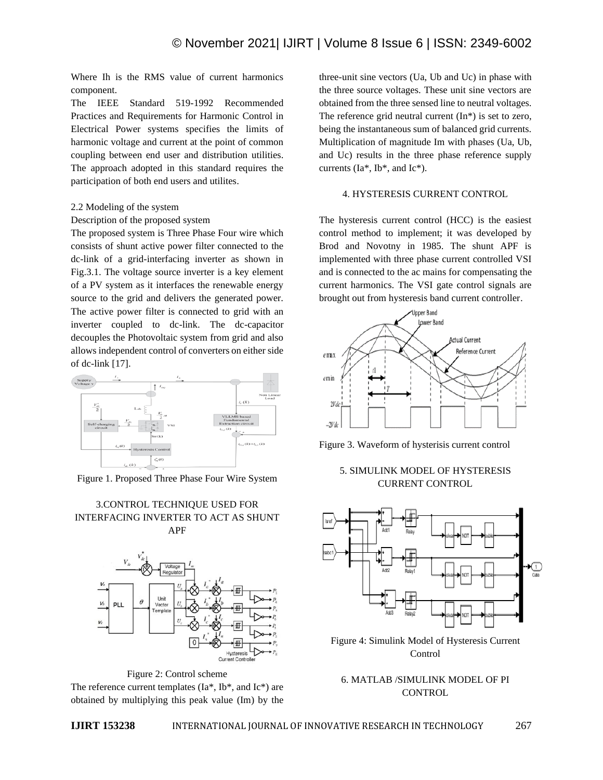Where Ih is the RMS value of current harmonics component.

The IEEE Standard 519-1992 Recommended Practices and Requirements for Harmonic Control in Electrical Power systems specifies the limits of harmonic voltage and current at the point of common coupling between end user and distribution utilities. The approach adopted in this standard requires the participation of both end users and utilites.

#### 2.2 Modeling of the system

#### Description of the proposed system

The proposed system is Three Phase Four wire which consists of shunt active power filter connected to the dc-link of a grid-interfacing inverter as shown in Fig.3.1. The voltage source inverter is a key element of a PV system as it interfaces the renewable energy source to the grid and delivers the generated power. The active power filter is connected to grid with an inverter coupled to dc-link. The dc-capacitor decouples the Photovoltaic system from grid and also allows independent control of converters on either side of dc-link [17].



Figure 1. Proposed Three Phase Four Wire System

## 3.CONTROL TECHNIQUE USED FOR INTERFACING INVERTER TO ACT AS SHUNT APF



Figure 2: Control scheme The reference current templates (Ia\*, Ib\*, and Ic\*) are obtained by multiplying this peak value (Im) by the

three-unit sine vectors (Ua, Ub and Uc) in phase with the three source voltages. These unit sine vectors are obtained from the three sensed line to neutral voltages. The reference grid neutral current  $(In<sup>*</sup>)$  is set to zero, being the instantaneous sum of balanced grid currents. Multiplication of magnitude Im with phases (Ua, Ub, and Uc) results in the three phase reference supply currents (Ia\*, Ib\*, and Ic\*).

#### 4. HYSTERESIS CURRENT CONTROL

The hysteresis current control (HCC) is the easiest control method to implement; it was developed by Brod and Novotny in 1985. The shunt APF is implemented with three phase current controlled VSI and is connected to the ac mains for compensating the current harmonics. The VSI gate control signals are brought out from hysteresis band current controller.



Figure 3. Waveform of hysterisis current control

# 5. SIMULINK MODEL OF HYSTERESIS CURRENT CONTROL



Figure 4: Simulink Model of Hysteresis Current Control

6. MATLAB /SIMULINK MODEL OF PI **CONTROL**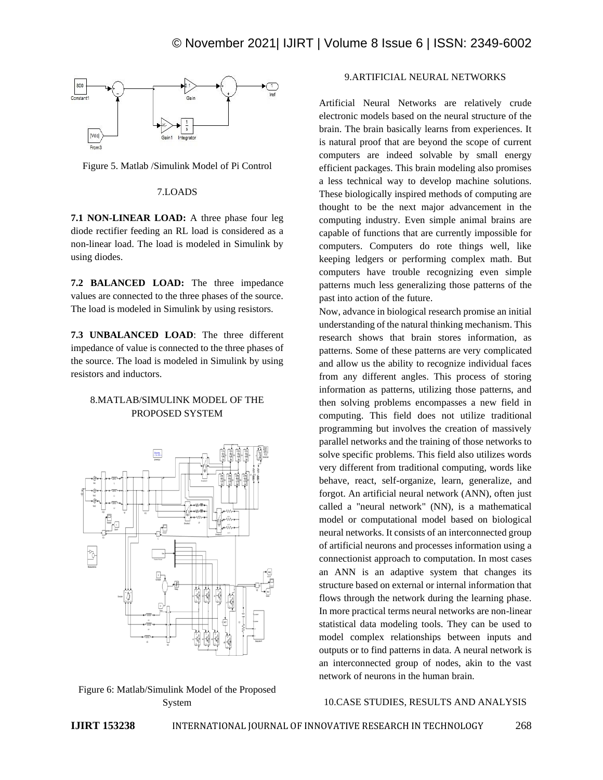

Figure 5. Matlab /Simulink Model of Pi Control

#### 7.LOADS

**7.1 NON-LINEAR LOAD:** A three phase four leg diode rectifier feeding an RL load is considered as a non-linear load. The load is modeled in Simulink by using diodes.

**7.2 BALANCED LOAD:** The three impedance values are connected to the three phases of the source. The load is modeled in Simulink by using resistors.

**7.3 UNBALANCED LOAD**: The three different impedance of value is connected to the three phases of the source. The load is modeled in Simulink by using resistors and inductors.

# 8.MATLAB/SIMULINK MODEL OF THE PROPOSED SYSTEM



Figure 6: Matlab/Simulink Model of the Proposed System

# 9.ARTIFICIAL NEURAL NETWORKS

Artificial Neural Networks are relatively crude electronic models based on the neural structure of the brain. The brain basically learns from experiences. It is natural proof that are beyond the scope of current computers are indeed solvable by small energy efficient packages. This brain modeling also promises a less technical way to develop machine solutions. These biologically inspired methods of computing are thought to be the next major advancement in the computing industry. Even simple animal brains are capable of functions that are currently impossible for computers. Computers do rote things well, like keeping ledgers or performing complex math. But computers have trouble recognizing even simple patterns much less generalizing those patterns of the past into action of the future.

Now, advance in biological research promise an initial understanding of the natural thinking mechanism. This research shows that brain stores information, as patterns. Some of these patterns are very complicated and allow us the ability to recognize individual faces from any different angles. This process of storing information as patterns, utilizing those patterns, and then solving problems encompasses a new field in computing. This field does not utilize traditional programming but involves the creation of massively parallel networks and the training of those networks to solve specific problems. This field also utilizes words very different from traditional computing, words like behave, react, self-organize, learn, generalize, and forgot. An artificial neural network (ANN), often just called a "neural network" (NN), is a mathematical model or computational model based on biological neural networks. It consists of an interconnected group of artificial neurons and processes information using a connectionist approach to computation. In most cases an ANN is an adaptive system that changes its structure based on external or internal information that flows through the network during the learning phase. In more practical terms neural networks are non-linear statistical data modeling tools. They can be used to model complex relationships between inputs and outputs or to find patterns in data. A neural network is an interconnected group of nodes, akin to the vast network of neurons in the human brain.

#### 10.CASE STUDIES, RESULTS AND ANALYSIS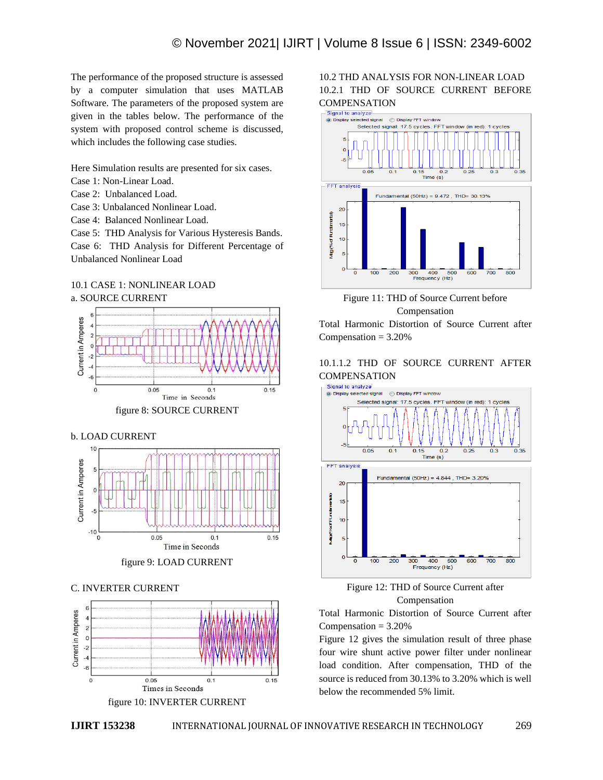The performance of the proposed structure is assessed by a computer simulation that uses MATLAB Software. The parameters of the proposed system are given in the tables below. The performance of the system with proposed control scheme is discussed, which includes the following case studies.

Here Simulation results are presented for six cases.

- Case 1: Non-Linear Load.
- Case 2: Unbalanced Load.
- Case 3: Unbalanced Nonlinear Load.
- Case 4: Balanced Nonlinear Load.

Case 5: THD Analysis for Various Hysteresis Bands.

Case 6: THD Analysis for Different Percentage of Unbalanced Nonlinear Load

## 10.1 CASE 1: NONLINEAR LOAD a. SOURCE CURRENT



figure 8: SOURCE CURRENT

### b. LOAD CURRENT





#### C. INVERTER CURRENT



figure 10: INVERTER CURRENT

# 10.2 THD ANALYSIS FOR NON-LINEAR LOAD 10.2.1 THD OF SOURCE CURRENT BEFORE COMPENSATION<br>  $\overline{\phantom{a}}$  Signal to analyze





Total Harmonic Distortion of Source Current after Compensation  $= 3.20\%$ 

# 10.1.1.2 THD OF SOURCE CURRENT AFTER COMPENSATION<br>Signal to analyze





Total Harmonic Distortion of Source Current after Compensation  $= 3.20\%$ 

Figure 12 gives the simulation result of three phase four wire shunt active power filter under nonlinear load condition. After compensation, THD of the source is reduced from 30.13% to 3.20% which is well below the recommended 5% limit.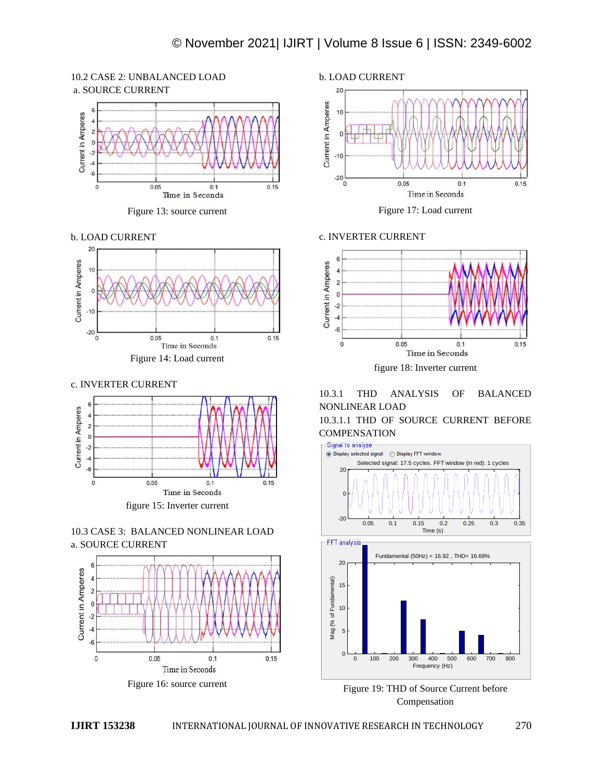# 10.2 CASE 2: UNBALANCED LOAD a. SOURCE CURRENT



Figure 13: source current





c. INVERTER CURRENT









Figure 17: Load current

#### c. INVERTER CURRENT



# 10.3.1 THD ANALYSIS OF BALANCED NONLINEAR LOAD 10.3.1.1 THD OF SOURCE CURRENT BEFORE



0 100 200 300 400 500 600 700 800  $\Omega$ Frequency (Hz)

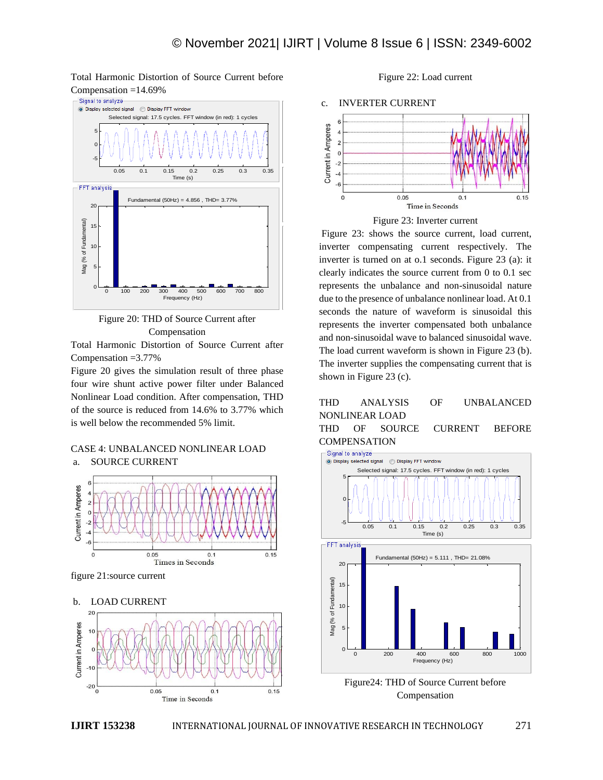Total Harmonic Distortion of Source Current before Compensation =14.69%



Figure 20: THD of Source Current after Compensation

Total Harmonic Distortion of Source Current after Compensation =3.77%

Figure 20 gives the simulation result of three phase four wire shunt active power filter under Balanced Nonlinear Load condition. After compensation, THD of the source is reduced from 14.6% to 3.77% which is well below the recommended 5% limit.

# CASE 4: UNBALANCED NONLINEAR LOAD





figure 21:source current



Figure 22: Load current





Figure 23: shows the source current, load current, inverter compensating current respectively. The inverter is turned on at o.1 seconds. Figure 23 (a): it clearly indicates the source current from 0 to 0.1 sec represents the unbalance and non-sinusoidal nature due to the presence of unbalance nonlinear load. At 0.1 seconds the nature of waveform is sinusoidal this represents the inverter compensated both unbalance and non-sinusoidal wave to balanced sinusoidal wave. The load current waveform is shown in Figure 23 (b). The inverter supplies the compensating current that is shown in Figure 23 (c).

# THD ANALYSIS OF UNBALANCED NONLINEAR LOAD

THD OF SOURCE CURRENT BEFORE **COMPENSATION** 



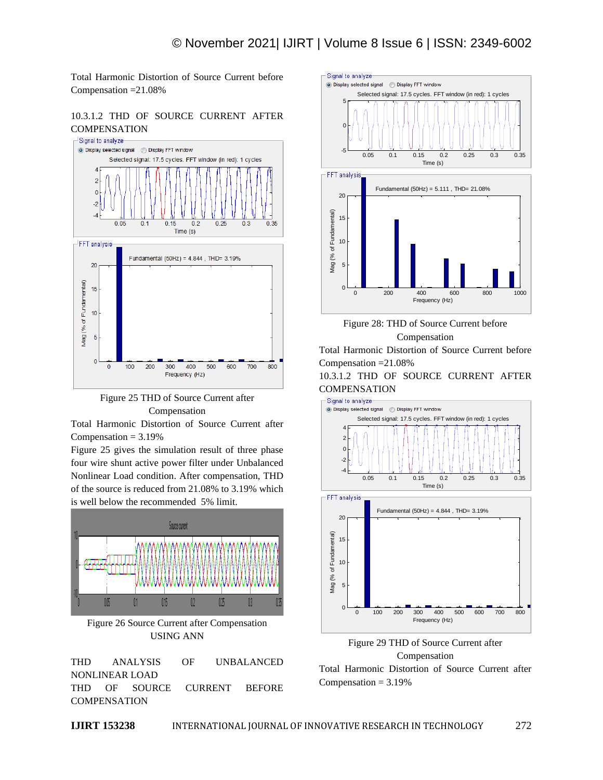Total Harmonic Distortion of Source Current before Compensation =21.08%

10.3.1.2 THD OF SOURCE CURRENT AFTER **COMPENSATION** 





Total Harmonic Distortion of Source Current after Compensation  $= 3.19%$ 

Figure 25 gives the simulation result of three phase four wire shunt active power filter under Unbalanced Nonlinear Load condition. After compensation, THD of the source is reduced from 21.08% to 3.19% which is well below the recommended 5% limit.



Figure 26 Source Current after Compensation USING ANN

THD ANALYSIS OF UNBALANCED NONLINEAR LOAD THD OF SOURCE CURRENT BEFORE **COMPENSATION** 







Total Harmonic Distortion of Source Current before Compensation =21.08%

10.3.1.2 THD OF SOURCE CURRENT AFTER **COMPENSATION** 







Total Harmonic Distortion of Source Current after Compensation  $= 3.19%$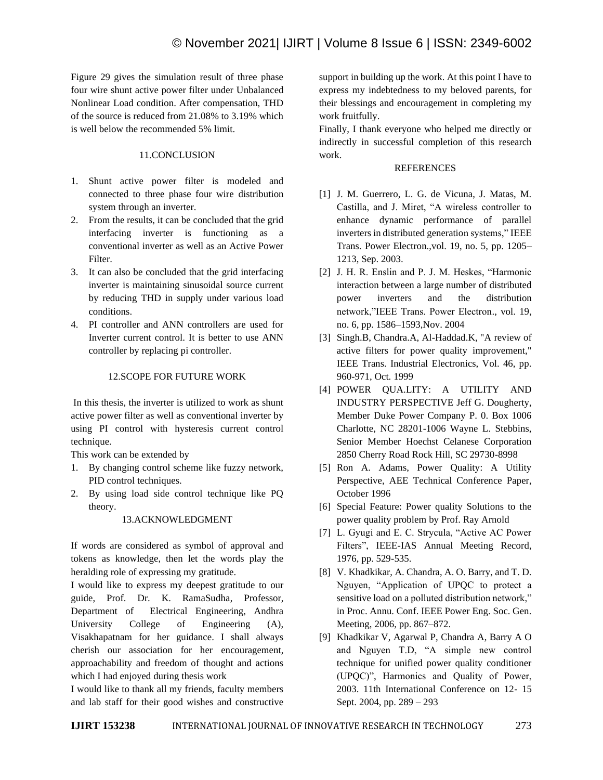Figure 29 gives the simulation result of three phase four wire shunt active power filter under Unbalanced Nonlinear Load condition. After compensation, THD of the source is reduced from 21.08% to 3.19% which is well below the recommended 5% limit.

# 11.CONCLUSION

- 1. Shunt active power filter is modeled and connected to three phase four wire distribution system through an inverter.
- 2. From the results, it can be concluded that the grid interfacing inverter is functioning as a conventional inverter as well as an Active Power Filter.
- 3. It can also be concluded that the grid interfacing inverter is maintaining sinusoidal source current by reducing THD in supply under various load conditions.
- 4. PI controller and ANN controllers are used for Inverter current control. It is better to use ANN controller by replacing pi controller.

# 12.SCOPE FOR FUTURE WORK

In this thesis, the inverter is utilized to work as shunt active power filter as well as conventional inverter by using PI control with hysteresis current control technique.

This work can be extended by

- 1. By changing control scheme like fuzzy network, PID control techniques.
- 2. By using load side control technique like PQ theory.

# 13.ACKNOWLEDGMENT

If words are considered as symbol of approval and tokens as knowledge, then let the words play the heralding role of expressing my gratitude.

I would like to express my deepest gratitude to our guide, Prof. Dr. K. RamaSudha, Professor, Department of Electrical Engineering, Andhra University College of Engineering (A), Visakhapatnam for her guidance. I shall always cherish our association for her encouragement, approachability and freedom of thought and actions which I had enjoyed during thesis work

I would like to thank all my friends, faculty members and lab staff for their good wishes and constructive

support in building up the work. At this point I have to express my indebtedness to my beloved parents, for their blessings and encouragement in completing my work fruitfully.

Finally, I thank everyone who helped me directly or indirectly in successful completion of this research work.

## REFERENCES

- [1] J. M. Guerrero, L. G. de Vicuna, J. Matas, M. Castilla, and J. Miret, "A wireless controller to enhance dynamic performance of parallel inverters in distributed generation systems," IEEE Trans. Power Electron.,vol. 19, no. 5, pp. 1205– 1213, Sep. 2003.
- [2] J. H. R. Enslin and P. J. M. Heskes, "Harmonic interaction between a large number of distributed power inverters and the distribution network,"IEEE Trans. Power Electron., vol. 19, no. 6, pp. 1586–1593,Nov. 2004
- [3] Singh.B, Chandra.A, Al-Haddad.K, "A review of active filters for power quality improvement," IEEE Trans. Industrial Electronics, Vol. 46, pp. 960-971, Oct. 1999
- [4] POWER QUA.LITY: A UTILITY AND INDUSTRY PERSPECTIVE Jeff G. Dougherty, Member Duke Power Company P. 0. Box 1006 Charlotte, NC 28201-1006 Wayne L. Stebbins, Senior Member Hoechst Celanese Corporation 2850 Cherry Road Rock Hill, SC 29730-8998
- [5] Ron A. Adams, Power Quality: A Utility Perspective, AEE Technical Conference Paper, October 1996
- [6] Special Feature: Power quality Solutions to the power quality problem by Prof. Ray Arnold
- [7] L. Gyugi and E. C. Strycula, "Active AC Power Filters", IEEE-IAS Annual Meeting Record, 1976, pp. 529-535.
- [8] V. Khadkikar, A. Chandra, A. O. Barry, and T. D. Nguyen, "Application of UPQC to protect a sensitive load on a polluted distribution network," in Proc. Annu. Conf. IEEE Power Eng. Soc. Gen. Meeting, 2006, pp. 867–872.
- [9] Khadkikar V, Agarwal P, Chandra A, Barry A O and Nguyen T.D, "A simple new control technique for unified power quality conditioner (UPQC)", Harmonics and Quality of Power, 2003. 11th International Conference on 12- 15 Sept. 2004, pp. 289 – 293